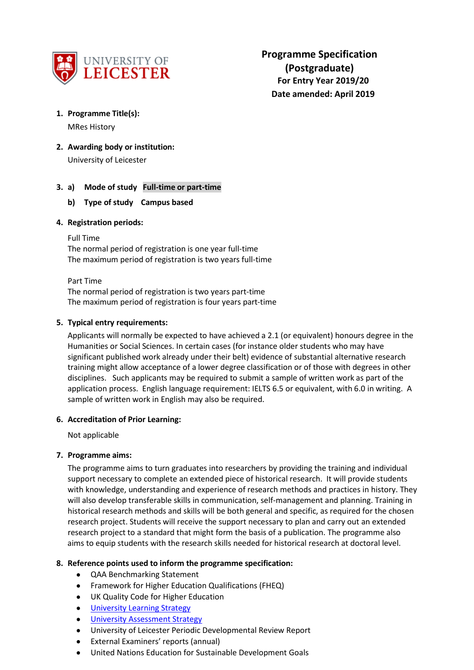

### **1. Programme Title(s):**

MRes History

**2. Awarding body or institution:**

University of Leicester

# **3. a) Mode of study Full-time or part-time**

## **b) Type of study Campus based**

### **4. Registration periods:**

Full Time

The normal period of registration is one year full-time The maximum period of registration is two years full-time

### Part Time

The normal period of registration is two years part-time The maximum period of registration is four years part-time

## **5. Typical entry requirements:**

Applicants will normally be expected to have achieved a 2.1 (or equivalent) honours degree in the Humanities or Social Sciences. In certain cases (for instance older students who may have significant published work already under their belt) evidence of substantial alternative research training might allow acceptance of a lower degree classification or of those with degrees in other disciplines. Such applicants may be required to submit a sample of written work as part of the application process. English language requirement: IELTS 6.5 or equivalent, with 6.0 in writing. A sample of written work in English may also be required.

## **6. Accreditation of Prior Learning:**

Not applicable

## **7. Programme aims:**

The programme aims to turn graduates into researchers by providing the training and individual support necessary to complete an extended piece of historical research. It will provide students with knowledge, understanding and experience of research methods and practices in history. They will also develop transferable skills in communication, self-management and planning. Training in historical research methods and skills will be both general and specific, as required for the chosen research project. Students will receive the support necessary to plan and carry out an extended research project to a standard that might form the basis of a publication. The programme also aims to equip students with the research skills needed for historical research at doctoral level.

## **8. Reference points used to inform the programme specification:**

- QAA Benchmarking Statement
- Framework for Higher Education Qualifications (FHEQ)
- UK Quality Code for Higher Education
- University Learnin[g Strategy](https://www2.le.ac.uk/offices/sas2/quality/learnteach)
- [University Assessment Strategy](https://www2.le.ac.uk/offices/sas2/quality/learnteach)
- University of Leicester Periodic Developmental Review Report
- External Examiners' reports (annual)
- United Nations Education for Sustainable Development Goals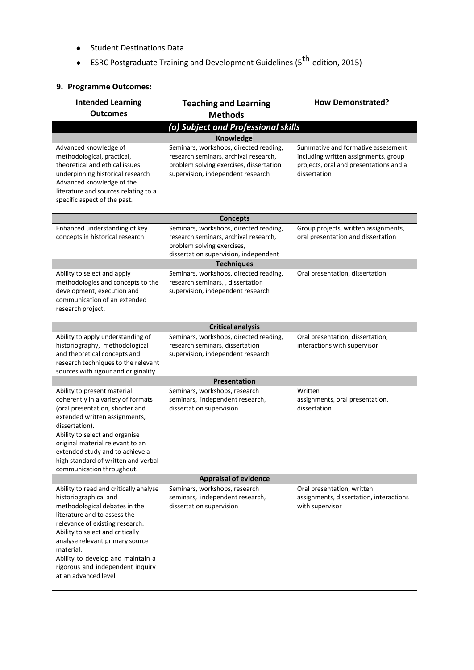- Student Destinations Data
- ESRC Postgraduate Training and Development Guidelines (5<sup>th</sup> edition, 2015)

# **9. Programme Outcomes:**

| <b>Intended Learning</b><br><b>Outcomes</b>                                                                                                                                                                                                                                                                                                              | <b>Teaching and Learning</b><br><b>Methods</b>                                                                                                                  | <b>How Demonstrated?</b>                                                                                                             |  |  |  |  |
|----------------------------------------------------------------------------------------------------------------------------------------------------------------------------------------------------------------------------------------------------------------------------------------------------------------------------------------------------------|-----------------------------------------------------------------------------------------------------------------------------------------------------------------|--------------------------------------------------------------------------------------------------------------------------------------|--|--|--|--|
|                                                                                                                                                                                                                                                                                                                                                          |                                                                                                                                                                 |                                                                                                                                      |  |  |  |  |
| (a) Subject and Professional skills                                                                                                                                                                                                                                                                                                                      |                                                                                                                                                                 |                                                                                                                                      |  |  |  |  |
|                                                                                                                                                                                                                                                                                                                                                          | Knowledge                                                                                                                                                       |                                                                                                                                      |  |  |  |  |
| Advanced knowledge of<br>methodological, practical,<br>theoretical and ethical issues<br>underpinning historical research<br>Advanced knowledge of the<br>literature and sources relating to a<br>specific aspect of the past.                                                                                                                           | Seminars, workshops, directed reading,<br>research seminars, archival research,<br>problem solving exercises, dissertation<br>supervision, independent research | Summative and formative assessment<br>including written assignments, group<br>projects, oral and presentations and a<br>dissertation |  |  |  |  |
|                                                                                                                                                                                                                                                                                                                                                          | <b>Concepts</b>                                                                                                                                                 |                                                                                                                                      |  |  |  |  |
| Enhanced understanding of key<br>concepts in historical research                                                                                                                                                                                                                                                                                         | Seminars, workshops, directed reading,<br>research seminars, archival research,<br>problem solving exercises,<br>dissertation supervision, independent          | Group projects, written assignments,<br>oral presentation and dissertation                                                           |  |  |  |  |
|                                                                                                                                                                                                                                                                                                                                                          | <b>Techniques</b>                                                                                                                                               |                                                                                                                                      |  |  |  |  |
| Ability to select and apply<br>methodologies and concepts to the<br>development, execution and<br>communication of an extended<br>research project.                                                                                                                                                                                                      | Seminars, workshops, directed reading,<br>research seminars, , dissertation<br>supervision, independent research                                                | Oral presentation, dissertation                                                                                                      |  |  |  |  |
|                                                                                                                                                                                                                                                                                                                                                          | <b>Critical analysis</b>                                                                                                                                        |                                                                                                                                      |  |  |  |  |
| Ability to apply understanding of<br>historiography, methodological<br>and theoretical concepts and<br>research techniques to the relevant<br>sources with rigour and originality                                                                                                                                                                        | Seminars, workshops, directed reading,<br>research seminars, dissertation<br>supervision, independent research                                                  | Oral presentation, dissertation,<br>interactions with supervisor                                                                     |  |  |  |  |
|                                                                                                                                                                                                                                                                                                                                                          | <b>Presentation</b>                                                                                                                                             |                                                                                                                                      |  |  |  |  |
| Ability to present material<br>coherently in a variety of formats<br>(oral presentation, shorter and<br>extended written assignments,<br>dissertation).<br>Ability to select and organise<br>original material relevant to an<br>extended study and to achieve a<br>high standard of written and verbal<br>communication throughout.                     | Seminars, workshops, research<br>seminars, independent research,<br>dissertation supervision                                                                    | Written<br>assignments, oral presentation,<br>dissertation                                                                           |  |  |  |  |
| <b>Appraisal of evidence</b>                                                                                                                                                                                                                                                                                                                             |                                                                                                                                                                 |                                                                                                                                      |  |  |  |  |
| Ability to read and critically analyse<br>historiographical and<br>methodological debates in the<br>literature and to assess the<br>relevance of existing research.<br>Ability to select and critically<br>analyse relevant primary source<br>material.<br>Ability to develop and maintain a<br>rigorous and independent inquiry<br>at an advanced level | Seminars, workshops, research<br>seminars, independent research,<br>dissertation supervision                                                                    | Oral presentation, written<br>assignments, dissertation, interactions<br>with supervisor                                             |  |  |  |  |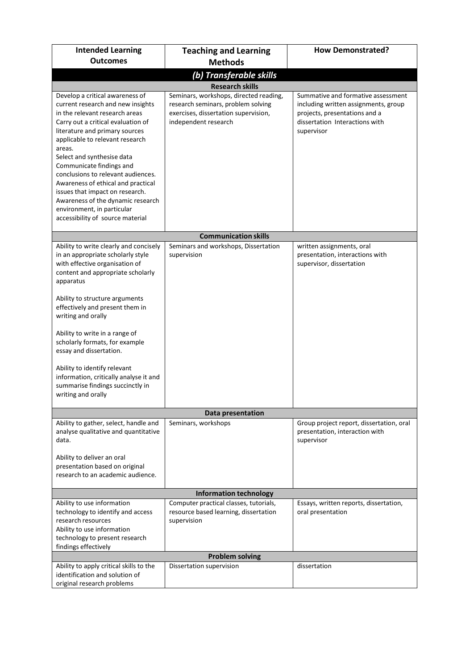| <b>Intended Learning</b>                                                                                                                                                                                                                                                                                                                                                                                                                                                                                    | <b>Teaching and Learning</b>                                                                                                                                           | <b>How Demonstrated?</b>                                                                                                                                    |  |  |  |  |
|-------------------------------------------------------------------------------------------------------------------------------------------------------------------------------------------------------------------------------------------------------------------------------------------------------------------------------------------------------------------------------------------------------------------------------------------------------------------------------------------------------------|------------------------------------------------------------------------------------------------------------------------------------------------------------------------|-------------------------------------------------------------------------------------------------------------------------------------------------------------|--|--|--|--|
| <b>Outcomes</b>                                                                                                                                                                                                                                                                                                                                                                                                                                                                                             | <b>Methods</b>                                                                                                                                                         |                                                                                                                                                             |  |  |  |  |
| (b) Transferable skills                                                                                                                                                                                                                                                                                                                                                                                                                                                                                     |                                                                                                                                                                        |                                                                                                                                                             |  |  |  |  |
| Develop a critical awareness of<br>current research and new insights<br>in the relevant research areas<br>Carry out a critical evaluation of<br>literature and primary sources<br>applicable to relevant research<br>areas.<br>Select and synthesise data<br>Communicate findings and<br>conclusions to relevant audiences.<br>Awareness of ethical and practical<br>issues that impact on research.<br>Awareness of the dynamic research<br>environment, in particular<br>accessibility of source material | <b>Research skills</b><br>Seminars, workshops, directed reading,<br>research seminars, problem solving<br>exercises, dissertation supervision,<br>independent research | Summative and formative assessment<br>including written assignments, group<br>projects, presentations and a<br>dissertation Interactions with<br>supervisor |  |  |  |  |
|                                                                                                                                                                                                                                                                                                                                                                                                                                                                                                             | <b>Communication skills</b>                                                                                                                                            |                                                                                                                                                             |  |  |  |  |
| Ability to write clearly and concisely<br>in an appropriate scholarly style<br>with effective organisation of<br>content and appropriate scholarly<br>apparatus                                                                                                                                                                                                                                                                                                                                             | Seminars and workshops, Dissertation<br>supervision                                                                                                                    | written assignments, oral<br>presentation, interactions with<br>supervisor, dissertation                                                                    |  |  |  |  |
| Ability to structure arguments<br>effectively and present them in<br>writing and orally<br>Ability to write in a range of                                                                                                                                                                                                                                                                                                                                                                                   |                                                                                                                                                                        |                                                                                                                                                             |  |  |  |  |
| scholarly formats, for example<br>essay and dissertation.<br>Ability to identify relevant<br>information, critically analyse it and<br>summarise findings succinctly in<br>writing and orally                                                                                                                                                                                                                                                                                                               |                                                                                                                                                                        |                                                                                                                                                             |  |  |  |  |
|                                                                                                                                                                                                                                                                                                                                                                                                                                                                                                             | Data presentation                                                                                                                                                      |                                                                                                                                                             |  |  |  |  |
| Ability to gather, select, handle and<br>analyse qualitative and quantitative<br>data.<br>Ability to deliver an oral<br>presentation based on original<br>research to an academic audience.                                                                                                                                                                                                                                                                                                                 | Seminars, workshops                                                                                                                                                    | Group project report, dissertation, oral<br>presentation, interaction with<br>supervisor                                                                    |  |  |  |  |
| <b>Information technology</b>                                                                                                                                                                                                                                                                                                                                                                                                                                                                               |                                                                                                                                                                        |                                                                                                                                                             |  |  |  |  |
| Ability to use information<br>technology to identify and access<br>research resources<br>Ability to use information<br>technology to present research<br>findings effectively                                                                                                                                                                                                                                                                                                                               | Computer practical classes, tutorials,<br>resource based learning, dissertation<br>supervision                                                                         | Essays, written reports, dissertation,<br>oral presentation                                                                                                 |  |  |  |  |
|                                                                                                                                                                                                                                                                                                                                                                                                                                                                                                             | <b>Problem solving</b>                                                                                                                                                 |                                                                                                                                                             |  |  |  |  |
| Ability to apply critical skills to the<br>identification and solution of<br>original research problems                                                                                                                                                                                                                                                                                                                                                                                                     | Dissertation supervision                                                                                                                                               | dissertation                                                                                                                                                |  |  |  |  |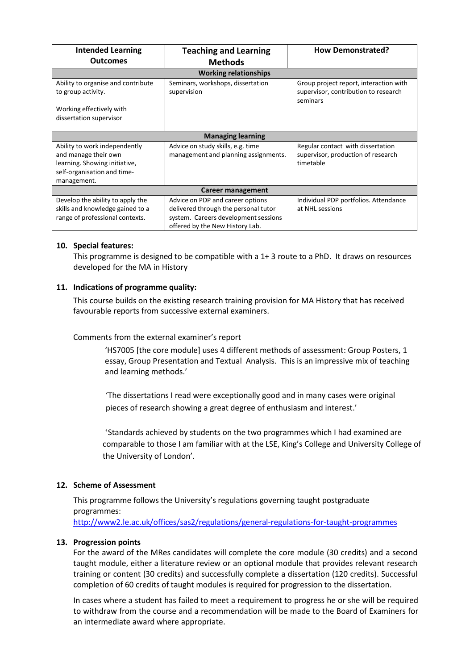| <b>Intended Learning</b>           | <b>Teaching and Learning</b>         | <b>How Demonstrated?</b>               |  |  |  |
|------------------------------------|--------------------------------------|----------------------------------------|--|--|--|
| <b>Outcomes</b>                    | <b>Methods</b>                       |                                        |  |  |  |
| <b>Working relationships</b>       |                                      |                                        |  |  |  |
| Ability to organise and contribute | Seminars, workshops, dissertation    | Group project report, interaction with |  |  |  |
| to group activity.                 | supervision                          | supervisor, contribution to research   |  |  |  |
|                                    |                                      | seminars                               |  |  |  |
| Working effectively with           |                                      |                                        |  |  |  |
| dissertation supervisor            |                                      |                                        |  |  |  |
|                                    |                                      |                                        |  |  |  |
|                                    | <b>Managing learning</b>             |                                        |  |  |  |
| Ability to work independently      | Advice on study skills, e.g. time    | Regular contact with dissertation      |  |  |  |
| and manage their own               | management and planning assignments. | supervisor, production of research     |  |  |  |
| learning. Showing initiative,      |                                      | timetable                              |  |  |  |
| self-organisation and time-        |                                      |                                        |  |  |  |
| management.                        |                                      |                                        |  |  |  |
| Career management                  |                                      |                                        |  |  |  |
| Develop the ability to apply the   | Advice on PDP and career options     | Individual PDP portfolios. Attendance  |  |  |  |
| skills and knowledge gained to a   | delivered through the personal tutor | at NHL sessions                        |  |  |  |
| range of professional contexts.    | system. Careers development sessions |                                        |  |  |  |
|                                    | offered by the New History Lab.      |                                        |  |  |  |

### **10. Special features:**

This programme is designed to be compatible with a 1+ 3 route to a PhD. It draws on resources developed for the MA in History

## **11. Indications of programme quality:**

This course builds on the existing research training provision for MA History that has received favourable reports from successive external examiners.

Comments from the external examiner's report

'HS7005 [the core module] uses 4 different methods of assessment: Group Posters, 1 essay, Group Presentation and Textual Analysis. This is an impressive mix of teaching and learning methods.'

'The dissertations I read were exceptionally good and in many cases were original pieces of research showing a great degree of enthusiasm and interest.'

'Standards achieved by students on the two programmes which I had examined are comparable to those I am familiar with at the LSE, King's College and University College of the University of London'.

## **12. Scheme of Assessment**

This programme follows the University's regulations governing taught postgraduate programmes: <http://www2.le.ac.uk/offices/sas2/regulations/general-regulations-for-taught-programmes>

### **13. Progression points**

For the award of the MRes candidates will complete the core module (30 credits) and a second taught module, either a literature review or an optional module that provides relevant research training or content (30 credits) and successfully complete a dissertation (120 credits). Successful completion of 60 credits of taught modules is required for progression to the dissertation.

In cases where a student has failed to meet a requirement to progress he or she will be required to withdraw from the course and a recommendation will be made to the Board of Examiners for an intermediate award where appropriate.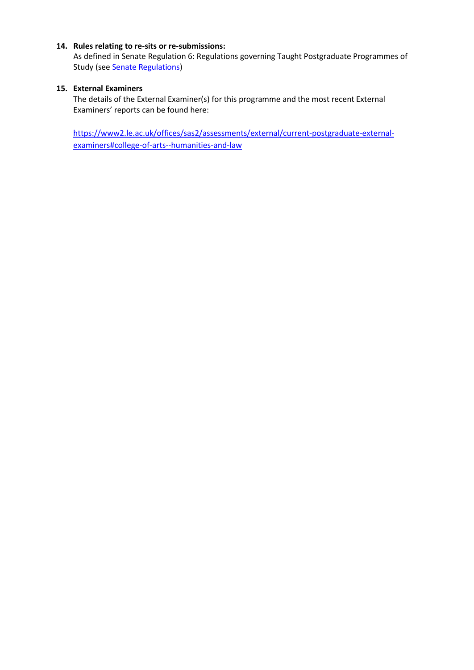### **14. Rules relating to re-sits or re-submissions:**

As defined in Senate Regulation 6: Regulations governing Taught Postgraduate Programmes of Study (see Senate Regulations)

## **15. External Examiners**

The details of the External Examiner(s) for this programme and the most recent External Examiners' reports can be found here:

[https://www2.le.ac.uk/offices/sas2/assessments/external/current-postgraduate-external](https://www2.le.ac.uk/offices/sas2/assessments/external/current-postgraduate-external-examiners#college-of-arts--humanities-and-law)[examiners#college-of-arts--humanities-and-law](https://www2.le.ac.uk/offices/sas2/assessments/external/current-postgraduate-external-examiners#college-of-arts--humanities-and-law)